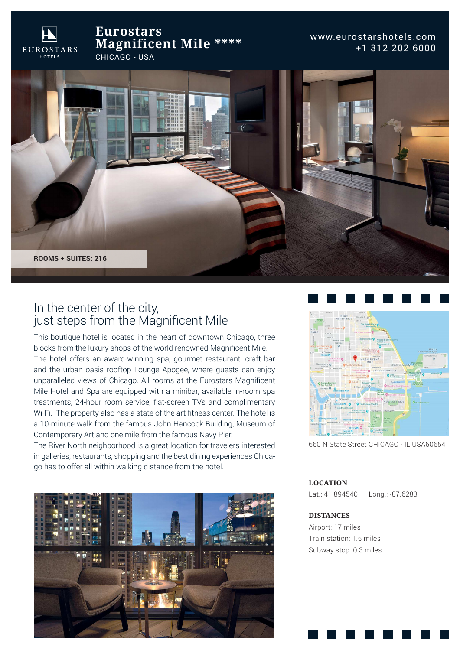**Eurostars Magnificent Mile \*\*\*\***CHICAGO - USA

**EUROSTARS** 

www.eurostarshotels.com +1 312 202 6000



# In the center of the city, just steps from the Magnificent Mile

This boutique hotel is located in the heart of downtown Chicago, three blocks from the luxury shops of the world renowned Magnificent Mile.The hotel offers an award-winning spa, gourmet restaurant, craft bar and the urban oasis rooftop Lounge Apogee, where guests can enjoy unparalleled views of Chicago. All rooms at the Eurostars Magnificent Mile Hotel and Spa are equipped with a minibar, available in-room spa treatments, 24-hour room service, flat-screen TVs and complimentary Wi-Fi. The property also has a state of the art fitness center. The hotel is a 10-minute walk from the famous John Hancock Building, Museum of Contemporary Art and one mile from the famous Navy Pier.

The River North neighborhood is a great location for travelers interested in galleries, restaurants, shopping and the best dining experiences Chicago has to offer all within walking distance from the hotel.





660 N State Street CHICAGO - IL USA60654

**LOCATION**

Lat.: 41.894540 Long.: -87.6283

#### **DISTANCES**

 Airport: 17 miles Train station: 1.5 milesSubway stop: 0.3 miles